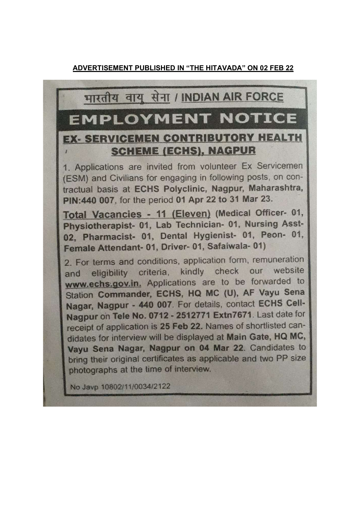## भारतीय वायु सेना / INDIAN AIR FORCE

# **EMPLOYMENT NOTICE**

## **EX- SERVICEMEN CONTRIBUTORY HEALTH SCHEME (ECHS), NAGPUR**

1. Applications are invited from volunteer Ex Servicemen (ESM) and Civilians for engaging in following posts, on contractual basis at ECHS Polyclinic, Nagpur, Maharashtra, PIN: 440 007, for the period 01 Apr 22 to 31 Mar 23.

Total Vacancies - 11 (Eleven) (Medical Officer- 01, Physiotherapist- 01, Lab Technician- 01, Nursing Asst-02, Pharmacist- 01, Dental Hygienist- 01, Peon- 01, Female Attendant- 01, Driver- 01, Safaiwala- 01)

2. For terms and conditions, application form, remuneration and eligibility criteria, kindly check our website www.echs.gov.in. Applications are to be forwarded to Station Commander, ECHS, HQ MC (U), AF Vayu Sena Nagar, Nagpur - 440 007. For details, contact ECHS Cell-Nagpur on Tele No. 0712 - 2512771 Extn7671. Last date for receipt of application is 25 Feb 22. Names of shortlisted candidates for interview will be displayed at Main Gate, HQ MC, Vayu Sena Nagar, Nagpur on 04 Mar 22. Candidates to bring their original certificates as applicable and two PP size photographs at the time of interview.

No Javp 10802/11/0034/2122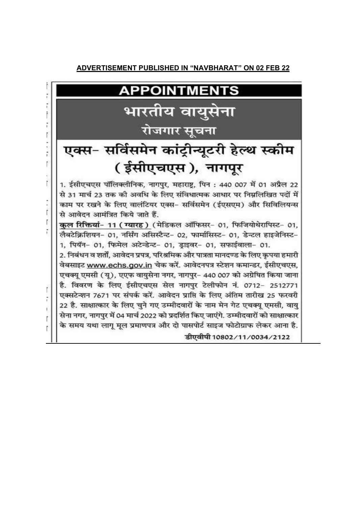#### **ADVERTISEMENT PUBLISHED IN "NAVBHARAT" ON 02 FEB 22**

## **APPOINTMENTS**

# भारतीय वायुसेना रोजगार सूचना

# एक्स- सर्विसमेन कांट्रीन्यूटरी हेल्थ स्कीम (ईसीएचएस), नागपूर

1. ईसीएचएस पॉलिक्लीनिक, नागपुर, महाराष्ट्र, पिन : 440 007 में 01 अप्रैल 22 से 31 मार्च 23 तक की अवधि के लिए संविधात्मक आधार पर निम्नलिखित पदों में काम पर रखने के लिए वालंटियर एक्स- सर्विसमेन (ईएसएम) और सिविलियन्स से आवेदन आमंत्रित किये जाते हैं.

कल रिक्तियां- 11 (ग्यारह) (मेडिकल ऑफिसर- 01, फिजियोथेरापिस्ट- 01, लैबटेक्निशियन- 01, नर्सिंग असिस्टैन्ट- 02, फार्मासिस्ट- 01, डेन्टल हाइजेनिस्ट-1, पियॅन- 01, फिमेल अटेन्डेन्ट- 01, डाइवर- 01, सफाईवाला- 01.

2. निबंधन व शर्तों. आवेदन प्रपत्र, परिश्रमिक और पात्रता मानदण्ड के लिए कपया हमारी वेबसाइट www.echs.gov.in चेक करें. आवेदनपत्र स्टेशन कमान्डर, ईसीएचएस, एचक्यू एमसी (यू), एएफ वायुसेना नगर, नागपुर- 440 007 को अग्रेषित किया जाना है. विवरण के लिए ईसीएचएस सेल नागपुर टेलीफोन नं. 0712- 2512771 एक्सटेन्शन 7671 पर संपर्क करें. आवेदन प्राप्ति के लिए अंतिम तारीख 25 फरवरी 22 है. साक्षात्कार के लिए चुने गए उम्मीदवारों के नाम मेन गेट एचक्यू एमसी, वायु सेना नगर, नागपुर में 04 मार्च 2022 को प्रदर्शित किए जाएंगे. उम्मीदवारों को साक्षात्कार के समय यथा लागू मूल प्रमाणपत्र और दो पासपोर्ट साइज फोटोग्राफ लेकर आना है.

डीएवीपी 10802/11/0034/2122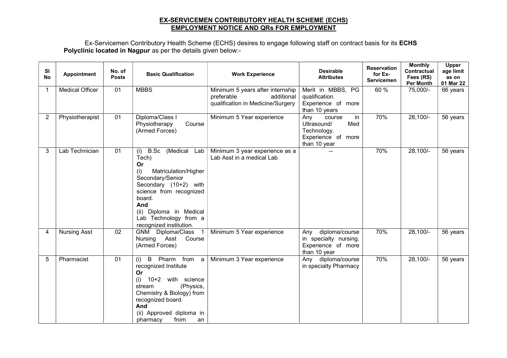#### EX-SERVICEMEN CONTRIBUTORY HEALTH SCHEME (ECHS) EMPLOYMENT NOTICE AND QRs FOR EMPLOYMENT

Ex-Servicemen Contributory Health Scheme (ECHS) desires to engage following staff on contract basis for its ECHS Polyclinic located in Nagpur as per the details given below:-

| <b>SI</b><br><b>No</b> | Appointment            | No. of<br><b>Posts</b> | <b>Basic Qualification</b>                                                                                                                                                                                                                           | <b>Work Experience</b>                                                                            | <b>Desirable</b><br><b>Attributes</b>                                                          | <b>Reservation</b><br>for Ex-<br><b>Servicemen</b> | <b>Monthly</b><br>Contractual<br>Fees (RS)<br><b>Per Month</b> | Upper<br>age limit<br>as on<br>01 Mar 22 |
|------------------------|------------------------|------------------------|------------------------------------------------------------------------------------------------------------------------------------------------------------------------------------------------------------------------------------------------------|---------------------------------------------------------------------------------------------------|------------------------------------------------------------------------------------------------|----------------------------------------------------|----------------------------------------------------------------|------------------------------------------|
| -1                     | <b>Medical Officer</b> | 01                     | <b>MBBS</b>                                                                                                                                                                                                                                          | Minimum 5 years after internship<br>preferable<br>additional<br>qualification in Medicine/Surgery | Merit in MBBS, PG<br>qualification.<br>Experience of more<br>than 10 years                     | 60 %                                               | 75,000/-                                                       | 66 years                                 |
| 2                      | Physiotherapist        | 01                     | Diploma/Class I<br>Physiotherapy<br>Course<br>(Armed Forces)                                                                                                                                                                                         | Minimum 5 Year experience                                                                         | Any<br>in<br>course<br>Med<br>Ultrasound/<br>Technology.<br>Experience of more<br>than 10 year | 70%                                                | 28,100/-                                                       | 56 years                                 |
| 3                      | Lab Technician         | 01                     | (Medical<br>B.Sc<br>(i)<br>Lab<br>Tech)<br>Or<br>(i)<br>Matriculation/Higher<br>Secondary/Senior<br>Secondary (10+2) with<br>science from recognized<br>board.<br>And<br>(ii) Diploma in Medical<br>Lab Technology from a<br>recognized institution. | Minimum 3 year experience as a<br>Lab Asst in a medical Lab                                       |                                                                                                | 70%                                                | 28,100/-                                                       | 56 years                                 |
| 4                      | <b>Nursing Asst</b>    | 02                     | GNM Diploma/Class 1<br>Nursing Asst Course<br>(Armed Forces)                                                                                                                                                                                         | Minimum 5 Year experience                                                                         | diploma/course<br>Any<br>in specialty nursing.<br>Experience of more<br>than 10 year           | 70%                                                | 28,100/-                                                       | 56 years                                 |
| 5                      | Pharmacist             | 01                     | Pharm from a<br>B<br>(i)<br>recognized Institute<br>Or<br>10+2 with science<br>(i)<br>(Physics,<br>stream<br>Chemistry & Biology) from<br>recognized board.<br>And<br>(ii) Approved diploma in<br>pharmacy<br>from<br>an                             | Minimum 3 Year experience                                                                         | Any diploma/course<br>in specialty Pharmacy                                                    | 70%                                                | 28,100/-                                                       | 56 years                                 |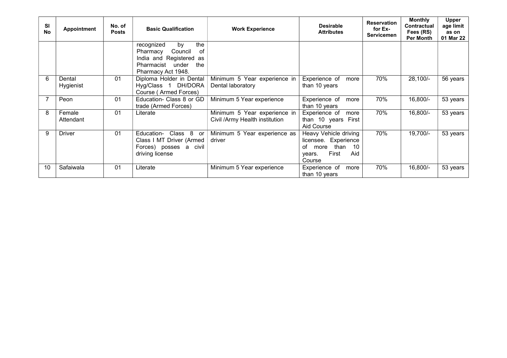| <b>SI</b><br><b>No</b> | <b>Appointment</b>  | No. of<br><b>Posts</b> | <b>Basic Qualification</b>                                                                                                       | <b>Work Experience</b>                                         | <b>Desirable</b><br><b>Attributes</b>                                                                         | <b>Reservation</b><br>for Ex-<br><b>Servicemen</b> | <b>Monthly</b><br><b>Contractual</b><br>Fees (RS)<br><b>Per Month</b> | <b>Upper</b><br>age limit<br>as on<br>01 Mar 22 |
|------------------------|---------------------|------------------------|----------------------------------------------------------------------------------------------------------------------------------|----------------------------------------------------------------|---------------------------------------------------------------------------------------------------------------|----------------------------------------------------|-----------------------------------------------------------------------|-------------------------------------------------|
|                        |                     |                        | recognized<br>by<br>the<br>Council<br>Pharmacy<br>0f<br>India and Registered as<br>Pharmacist under<br>the<br>Pharmacy Act 1948. |                                                                |                                                                                                               |                                                    |                                                                       |                                                 |
| 6                      | Dental<br>Hygienist | 01                     | Diploma Holder in Dental<br>Hyg/Class 1 DH/DORA<br>Course (Armed Forces)                                                         | Minimum 5 Year experience in<br>Dental laboratory              | Experience of<br>more<br>than 10 years                                                                        | 70%                                                | $28,100/-$                                                            | 56 years                                        |
|                        | Peon                | 01                     | Education- Class 8 or GD<br>trade (Armed Forces)                                                                                 | Minimum 5 Year experience                                      | Experience of<br>more<br>than 10 years                                                                        | 70%                                                | 16,800/-                                                              | 53 years                                        |
| 8                      | Female<br>Attendant | 01                     | Literate                                                                                                                         | Minimum 5 Year experience in<br>Civil /Army Health institution | Experience of<br>more<br>than 10 years First<br>Aid Course                                                    | 70%                                                | 16,800/-                                                              | 53 years                                        |
| 9                      | <b>Driver</b>       | 0 <sub>1</sub>         | Education-<br>Class 8<br>.or<br>Class I MT Driver (Armed<br>Forces) posses a civil<br>driving license                            | Minimum 5 Year experience as<br>driver                         | Heavy Vehicle driving<br>licensee. Experience<br>of<br>than<br>10<br>more<br>Aid<br>First<br>years.<br>Course | 70%                                                | 19,700/-                                                              | 53 years                                        |
| 10                     | Safaiwala           | 01                     | Literate                                                                                                                         | Minimum 5 Year experience                                      | Experience of<br>more<br>than 10 years                                                                        | 70%                                                | 16,800/-                                                              | 53 years                                        |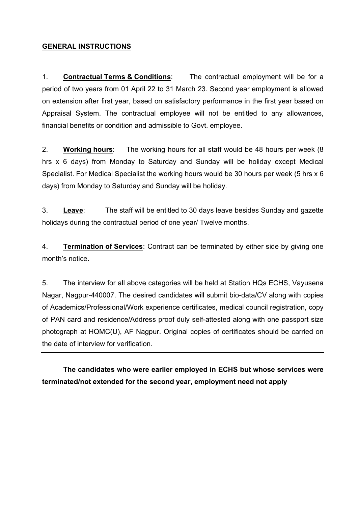#### GENERAL INSTRUCTIONS

1. Contractual Terms & Conditions: The contractual employment will be for a period of two years from 01 April 22 to 31 March 23. Second year employment is allowed on extension after first year, based on satisfactory performance in the first year based on Appraisal System. The contractual employee will not be entitled to any allowances, financial benefits or condition and admissible to Govt. employee.

2. Working hours: The working hours for all staff would be 48 hours per week (8 hrs x 6 days) from Monday to Saturday and Sunday will be holiday except Medical Specialist. For Medical Specialist the working hours would be 30 hours per week (5 hrs x 6 days) from Monday to Saturday and Sunday will be holiday.

3. Leave: The staff will be entitled to 30 days leave besides Sunday and gazette holidays during the contractual period of one year/ Twelve months.

4. Termination of Services: Contract can be terminated by either side by giving one month's notice.

5. The interview for all above categories will be held at Station HQs ECHS, Vayusena Nagar, Nagpur-440007. The desired candidates will submit bio-data/CV along with copies of Academics/Professional/Work experience certificates, medical council registration, copy of PAN card and residence/Address proof duly self-attested along with one passport size photograph at HQMC(U), AF Nagpur. Original copies of certificates should be carried on the date of interview for verification.

The candidates who were earlier employed in ECHS but whose services were terminated/not extended for the second year, employment need not apply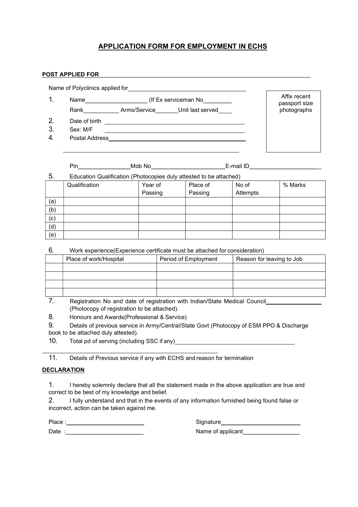#### APPLICATION FORM FOR EMPLOYMENT IN ECHS

#### POST APPLIED FOR THE RESERVE TO A LIMIT OF THE RESERVE TO A LIMIT OF THE RESERVE TO A LIMIT OF THE RESERVE TO A LIMIT OF THE RESERVE TO A LIMIT OF THE RESERVE TO A LIMIT OF THE RESERVE TO A LIMIT OF THE RESERVE TO A LIMIT

Name of Polyclinics applied for Affix recent 1. Name (If Ex serviceman No passport size Rank Mannew Arms/Service Unit last served photographs 2. Date of birth <u> Termin di sebagai personal di sebagai personal di sebagai personal di sebagai personal di sebagai personal di</u> 3. Sex: M/F 4. Postal Address

|     | Pin                                                                | Mob No  |          | E-mail ID |         |
|-----|--------------------------------------------------------------------|---------|----------|-----------|---------|
| 5.  | Education Qualification (Photocopies duly attested to be attached) |         |          |           |         |
|     | Qualification                                                      | Year of | Place of | No of     | % Marks |
|     |                                                                    | Passing | Passing  | Attempts  |         |
| (a) |                                                                    |         |          |           |         |
| (b) |                                                                    |         |          |           |         |
| (c) |                                                                    |         |          |           |         |
| (d) |                                                                    |         |          |           |         |
| (e) |                                                                    |         |          |           |         |
|     |                                                                    |         |          |           |         |

6. Work experience(Experience certificate must be attached for consideration)

| Place of work/Hospital | Period of Employment | Reason for leaving to Job |
|------------------------|----------------------|---------------------------|
|                        |                      |                           |
|                        |                      |                           |
|                        |                      |                           |
|                        |                      |                           |
|                        |                      |                           |

7. Registration No and date of registration with Indian/State Medical Council (Photocopy of registration to be attached).

8. Honours and Awards(Professional & Service)

9. Details of previous service in Army/Central/State Govt (Photocopy of ESM PPO & Discharge book to be attached duly attested).

10. Total pd of serving (including SSC if any)

11. Details of Previous service if any with ECHS and reason for termination

#### DECLARATION

1. I hereby solemnly declare that all the statement made in the above application are true and correct to be best of my knowledge and belief.

2. I fully understand and that in the events of any information furnished being found false or incorrect, action can be taken against me.

Place : state of the state of the state of the Signature Signature of the state of the state of the state of the state of the state of the state of the state of the state of the state of the state of the state of the state

Date : <u>Name of applicant</u>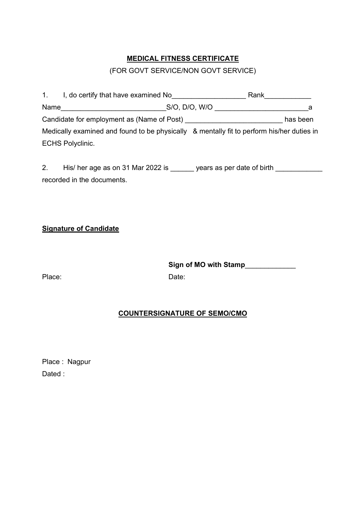### MEDICAL FITNESS CERTIFICATE

### (FOR GOVT SERVICE/NON GOVT SERVICE)

| $1_{\cdot}$ | I, do certify that have examined No                                                       | Rank          |          |
|-------------|-------------------------------------------------------------------------------------------|---------------|----------|
| Name        |                                                                                           | S/O, D/O, W/O | а        |
|             | Candidate for employment as (Name of Post)                                                |               | has been |
|             | Medically examined and found to be physically & mentally fit to perform his/her duties in |               |          |
|             | <b>ECHS Polyclinic.</b>                                                                   |               |          |

2. His/ her age as on 31 Mar 2022 is \_\_\_\_\_\_ years as per date of birth recorded in the documents.

Signature of Candidate

Sign of MO with Stamp\_\_\_\_\_\_\_\_\_\_\_\_\_

Place: Date:

#### COUNTERSIGNATURE OF SEMO/CMO

Place : Nagpur Dated :